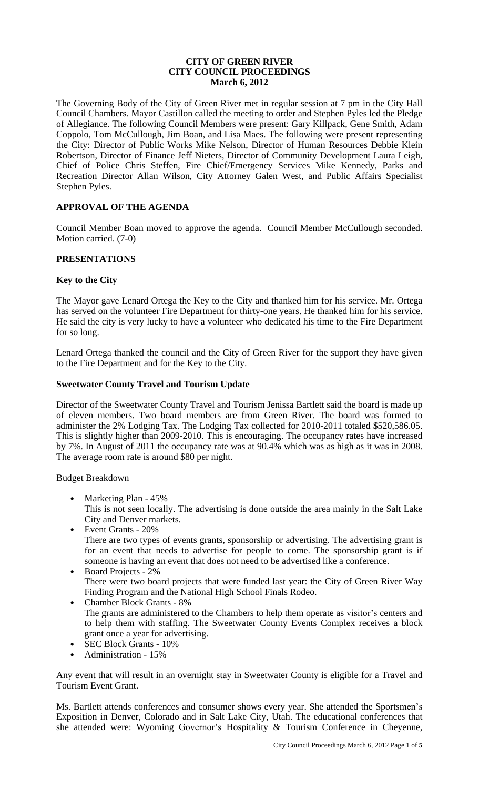### **CITY OF GREEN RIVER CITY COUNCIL PROCEEDINGS March 6, 2012**

The Governing Body of the City of Green River met in regular session at 7 pm in the City Hall Council Chambers. Mayor Castillon called the meeting to order and Stephen Pyles led the Pledge of Allegiance. The following Council Members were present: Gary Killpack, Gene Smith, Adam Coppolo, Tom McCullough, Jim Boan, and Lisa Maes. The following were present representing the City: Director of Public Works Mike Nelson, Director of Human Resources Debbie Klein Robertson, Director of Finance Jeff Nieters, Director of Community Development Laura Leigh, Chief of Police Chris Steffen, Fire Chief/Emergency Services Mike Kennedy, Parks and Recreation Director Allan Wilson, City Attorney Galen West, and Public Affairs Specialist Stephen Pyles.

# **APPROVAL OF THE AGENDA**

Council Member Boan moved to approve the agenda. Council Member McCullough seconded. Motion carried. (7-0)

# **PRESENTATIONS**

### **Key to the City**

The Mayor gave Lenard Ortega the Key to the City and thanked him for his service. Mr. Ortega has served on the volunteer Fire Department for thirty-one years. He thanked him for his service. He said the city is very lucky to have a volunteer who dedicated his time to the Fire Department for so long.

Lenard Ortega thanked the council and the City of Green River for the support they have given to the Fire Department and for the Key to the City.

#### **Sweetwater County Travel and Tourism Update**

Director of the Sweetwater County Travel and Tourism Jenissa Bartlett said the board is made up of eleven members. Two board members are from Green River. The board was formed to administer the 2% Lodging Tax. The Lodging Tax collected for 2010-2011 totaled \$520,586.05. This is slightly higher than 2009-2010. This is encouraging. The occupancy rates have increased by 7%. In August of 2011 the occupancy rate was at 90.4% which was as high as it was in 2008. The average room rate is around \$80 per night.

Budget Breakdown

- Marketing Plan 45%
	- This is not seen locally. The advertising is done outside the area mainly in the Salt Lake City and Denver markets.
- Event Grants 20% There are two types of events grants, sponsorship or advertising. The advertising grant is for an event that needs to advertise for people to come. The sponsorship grant is if someone is having an event that does not need to be advertised like a conference.
- Board Projects 2% There were two board projects that were funded last year: the City of Green River Way Finding Program and the National High School Finals Rodeo.
- Chamber Block Grants 8% The grants are administered to the Chambers to help them operate as visitor's centers and to help them with staffing. The Sweetwater County Events Complex receives a block grant once a year for advertising.
- SEC Block Grants 10%
- Administration 15%

Any event that will result in an overnight stay in Sweetwater County is eligible for a Travel and Tourism Event Grant.

Ms. Bartlett attends conferences and consumer shows every year. She attended the Sportsmen's Exposition in Denver, Colorado and in Salt Lake City, Utah. The educational conferences that she attended were: Wyoming Governor's Hospitality & Tourism Conference in Cheyenne,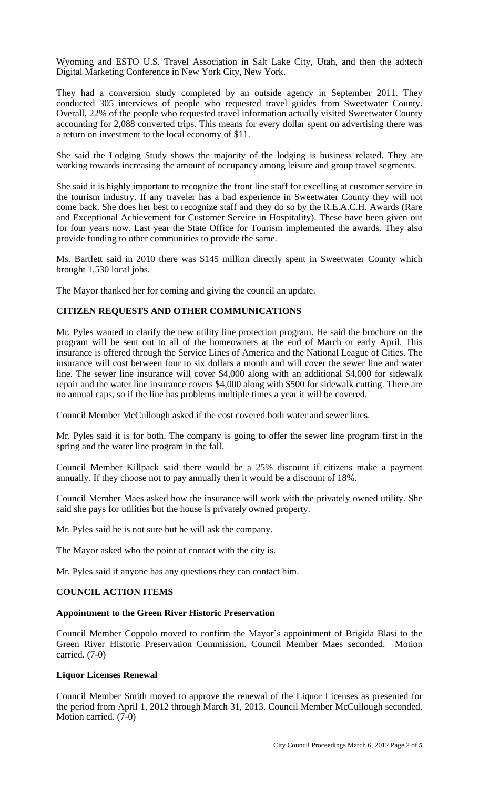Wyoming and ESTO U.S. Travel Association in Salt Lake City, Utah, and then the ad:tech Digital Marketing Conference in New York City, New York.

They had a conversion study completed by an outside agency in September 2011. They conducted 305 interviews of people who requested travel guides from Sweetwater County. Overall, 22% of the people who requested travel information actually visited Sweetwater County accounting for 2,088 converted trips. This means for every dollar spent on advertising there was a return on investment to the local economy of \$11.

She said the Lodging Study shows the majority of the lodging is business related. They are working towards increasing the amount of occupancy among leisure and group travel segments.

She said it is highly important to recognize the front line staff for excelling at customer service in the tourism industry. If any traveler has a bad experience in Sweetwater County they will not come back. She does her best to recognize staff and they do so by the R.E.A.C.H. Awards (Rare and Exceptional Achievement for Customer Service in Hospitality). These have been given out for four years now. Last year the State Office for Tourism implemented the awards. They also provide funding to other communities to provide the same.

Ms. Bartlett said in 2010 there was \$145 million directly spent in Sweetwater County which brought 1,530 local jobs.

The Mayor thanked her for coming and giving the council an update.

### **CITIZEN REQUESTS AND OTHER COMMUNICATIONS**

Mr. Pyles wanted to clarify the new utility line protection program. He said the brochure on the program will be sent out to all of the homeowners at the end of March or early April. This insurance is offered through the Service Lines of America and the National League of Cities. The insurance will cost between four to six dollars a month and will cover the sewer line and water line. The sewer line insurance will cover \$4,000 along with an additional \$4,000 for sidewalk repair and the water line insurance covers \$4,000 along with \$500 for sidewalk cutting. There are no annual caps, so if the line has problems multiple times a year it will be covered.

Council Member McCullough asked if the cost covered both water and sewer lines.

Mr. Pyles said it is for both. The company is going to offer the sewer line program first in the spring and the water line program in the fall.

Council Member Killpack said there would be a 25% discount if citizens make a payment annually. If they choose not to pay annually then it would be a discount of 18%.

Council Member Maes asked how the insurance will work with the privately owned utility. She said she pays for utilities but the house is privately owned property.

Mr. Pyles said he is not sure but he will ask the company.

The Mayor asked who the point of contact with the city is.

Mr. Pyles said if anyone has any questions they can contact him.

# **COUNCIL ACTION ITEMS**

#### **Appointment to the Green River Historic Preservation**

Council Member Coppolo moved to confirm the Mayor's appointment of Brigida Blasi to the Green River Historic Preservation Commission. Council Member Maes seconded. Motion carried. (7-0)

#### **Liquor Licenses Renewal**

Council Member Smith moved to approve the renewal of the Liquor Licenses as presented for the period from April 1, 2012 through March 31, 2013. Council Member McCullough seconded. Motion carried. (7-0)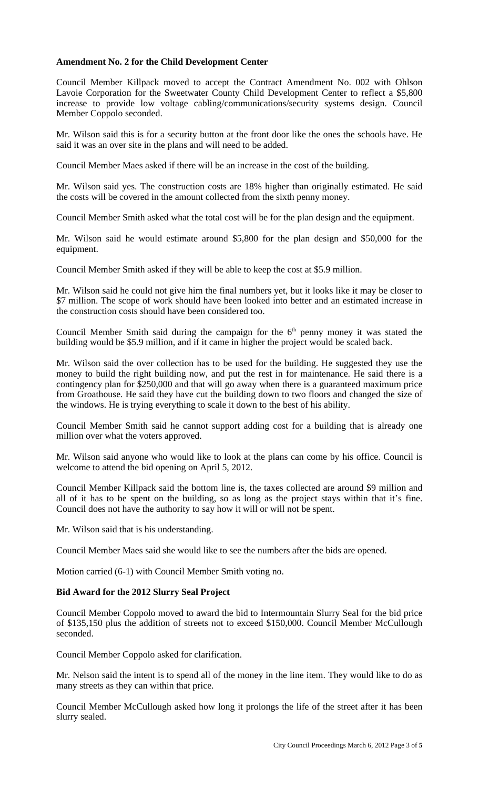# **Amendment No. 2 for the Child Development Center**

Council Member Killpack moved to accept the Contract Amendment No. 002 with Ohlson Lavoie Corporation for the Sweetwater County Child Development Center to reflect a \$5,800 increase to provide low voltage cabling/communications/security systems design. Council Member Coppolo seconded.

Mr. Wilson said this is for a security button at the front door like the ones the schools have. He said it was an over site in the plans and will need to be added.

Council Member Maes asked if there will be an increase in the cost of the building.

Mr. Wilson said yes. The construction costs are 18% higher than originally estimated. He said the costs will be covered in the amount collected from the sixth penny money.

Council Member Smith asked what the total cost will be for the plan design and the equipment.

Mr. Wilson said he would estimate around \$5,800 for the plan design and \$50,000 for the equipment.

Council Member Smith asked if they will be able to keep the cost at \$5.9 million.

Mr. Wilson said he could not give him the final numbers yet, but it looks like it may be closer to \$7 million. The scope of work should have been looked into better and an estimated increase in the construction costs should have been considered too.

Council Member Smith said during the campaign for the  $6<sup>th</sup>$  penny money it was stated the building would be \$5.9 million, and if it came in higher the project would be scaled back.

Mr. Wilson said the over collection has to be used for the building. He suggested they use the money to build the right building now, and put the rest in for maintenance. He said there is a contingency plan for \$250,000 and that will go away when there is a guaranteed maximum price from Groathouse. He said they have cut the building down to two floors and changed the size of the windows. He is trying everything to scale it down to the best of his ability.

Council Member Smith said he cannot support adding cost for a building that is already one million over what the voters approved.

Mr. Wilson said anyone who would like to look at the plans can come by his office. Council is welcome to attend the bid opening on April 5, 2012.

Council Member Killpack said the bottom line is, the taxes collected are around \$9 million and all of it has to be spent on the building, so as long as the project stays within that it's fine. Council does not have the authority to say how it will or will not be spent.

Mr. Wilson said that is his understanding.

Council Member Maes said she would like to see the numbers after the bids are opened.

Motion carried (6-1) with Council Member Smith voting no.

# **Bid Award for the 2012 Slurry Seal Project**

Council Member Coppolo moved to award the bid to Intermountain Slurry Seal for the bid price of \$135,150 plus the addition of streets not to exceed \$150,000. Council Member McCullough seconded.

Council Member Coppolo asked for clarification.

Mr. Nelson said the intent is to spend all of the money in the line item. They would like to do as many streets as they can within that price.

Council Member McCullough asked how long it prolongs the life of the street after it has been slurry sealed.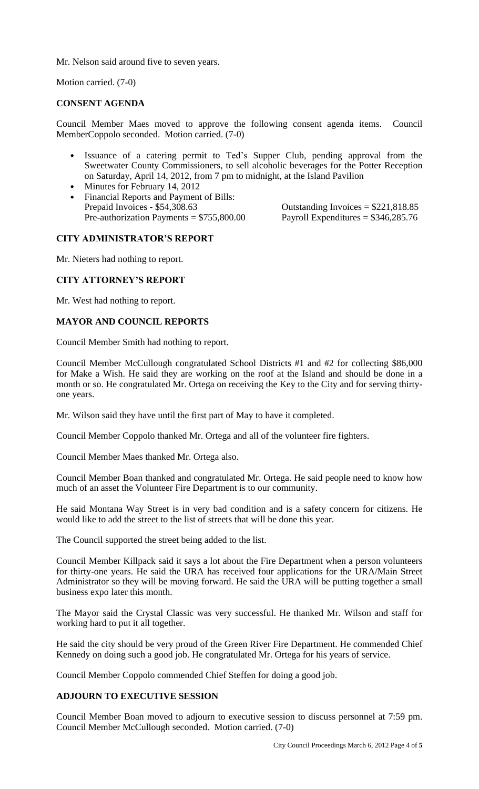Mr. Nelson said around five to seven years.

Motion carried. (7-0)

# **CONSENT AGENDA**

Council Member Maes moved to approve the following consent agenda items. Council MemberCoppolo seconded. Motion carried. (7-0)

- Issuance of a catering permit to Ted's Supper Club, pending approval from the Sweetwater County Commissioners, to sell alcoholic beverages for the Potter Reception on Saturday, April 14, 2012, from 7 pm to midnight, at the Island Pavilion
- Minutes for February 14, 2012
- Financial Reports and Payment of Bills:<br>Prepaid Invoices \$54,308.63 Pre-authorization Payments =  $$755,800.00$  Payroll Expenditures =  $$346,285.76$

Outstanding Invoices  $= $221,818.85$ 

### **CITY ADMINISTRATOR'S REPORT**

Mr. Nieters had nothing to report.

# **CITY ATTORNEY'S REPORT**

Mr. West had nothing to report.

### **MAYOR AND COUNCIL REPORTS**

Council Member Smith had nothing to report.

Council Member McCullough congratulated School Districts #1 and #2 for collecting \$86,000 for Make a Wish. He said they are working on the roof at the Island and should be done in a month or so. He congratulated Mr. Ortega on receiving the Key to the City and for serving thirtyone years.

Mr. Wilson said they have until the first part of May to have it completed.

Council Member Coppolo thanked Mr. Ortega and all of the volunteer fire fighters.

Council Member Maes thanked Mr. Ortega also.

Council Member Boan thanked and congratulated Mr. Ortega. He said people need to know how much of an asset the Volunteer Fire Department is to our community.

He said Montana Way Street is in very bad condition and is a safety concern for citizens. He would like to add the street to the list of streets that will be done this year.

The Council supported the street being added to the list.

Council Member Killpack said it says a lot about the Fire Department when a person volunteers for thirty-one years. He said the URA has received four applications for the URA/Main Street Administrator so they will be moving forward. He said the URA will be putting together a small business expo later this month.

The Mayor said the Crystal Classic was very successful. He thanked Mr. Wilson and staff for working hard to put it all together.

He said the city should be very proud of the Green River Fire Department. He commended Chief Kennedy on doing such a good job. He congratulated Mr. Ortega for his years of service.

Council Member Coppolo commended Chief Steffen for doing a good job.

# **ADJOURN TO EXECUTIVE SESSION**

Council Member Boan moved to adjourn to executive session to discuss personnel at 7:59 pm. Council Member McCullough seconded. Motion carried. (7-0)